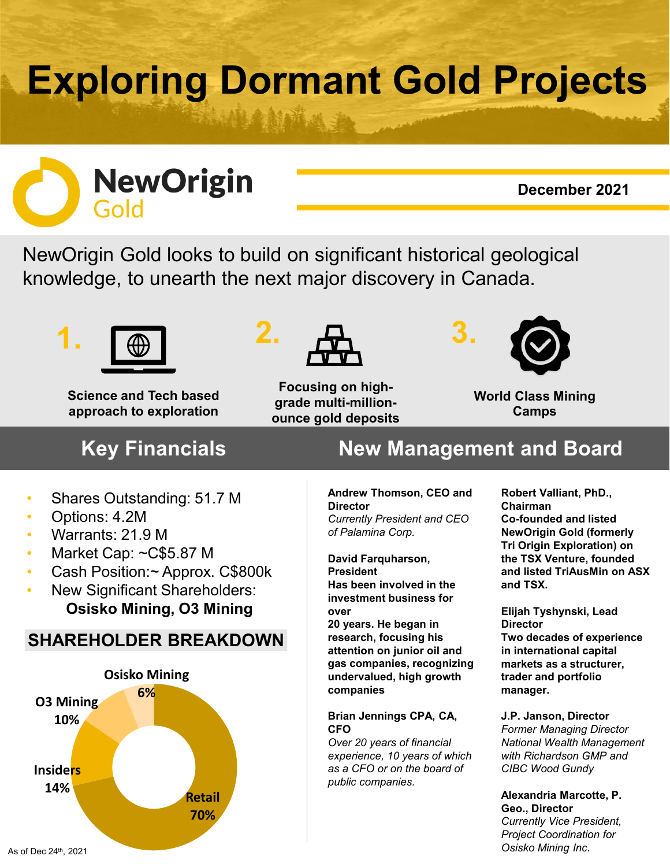# **Exploring Dormant Gold Projects**



## **December 2021**

NewOrigin Gold looks to build on significant historical geological knowledge, to unearth the next major discovery in Canada.



**Science and Tech based approach to exploration**



**Focusing on highgrade multi-millionounce gold deposits** 



**World Class Mining Camps**

## • Shares Outstanding: 51.7 M

- Options: 4.2M
- Warrants: 21.9 M
- Market Cap: ~C\$5.87 M
- Cash Position:~ Approx. C\$800k
- New Significant Shareholders: **Osisko Mining, O3 Mining**

## **SHAREHOLDER BREAKDOWN**



# **Key Financials New Management and Board**

#### **Andrew Thomson, CEO and Director** *Currently President and CEO of Palamina Corp.*

**David Farquharson, President Has been involved in the investment business for over**

**20 years. He began in research, focusing his attention on junior oil and gas companies, recognizing undervalued, high growth companies**

## **Brian Jennings CPA, CA, CFO**

*Over 20 years of financial experience, 10 years of which as a CFO or on the board of public companies.*

**Robert Valliant, PhD., Chairman Co-founded and listed NewOrigin Gold (formerly Tri Origin Exploration) on the TSX Venture, founded and listed TriAusMin on ASX and TSX.**

**Elijah Tyshynski, Lead Director Two decades of experience in international capital markets as a structurer, trader and portfolio manager.** 

**J.P. Janson, Director** *Former Managing Director National Wealth Management with Richardson GMP and CIBC Wood Gundy* 

### **Alexandria Marcotte, P. Geo., Director**  *Currently Vice President, Project Coordination for Osisko Mining Inc.*